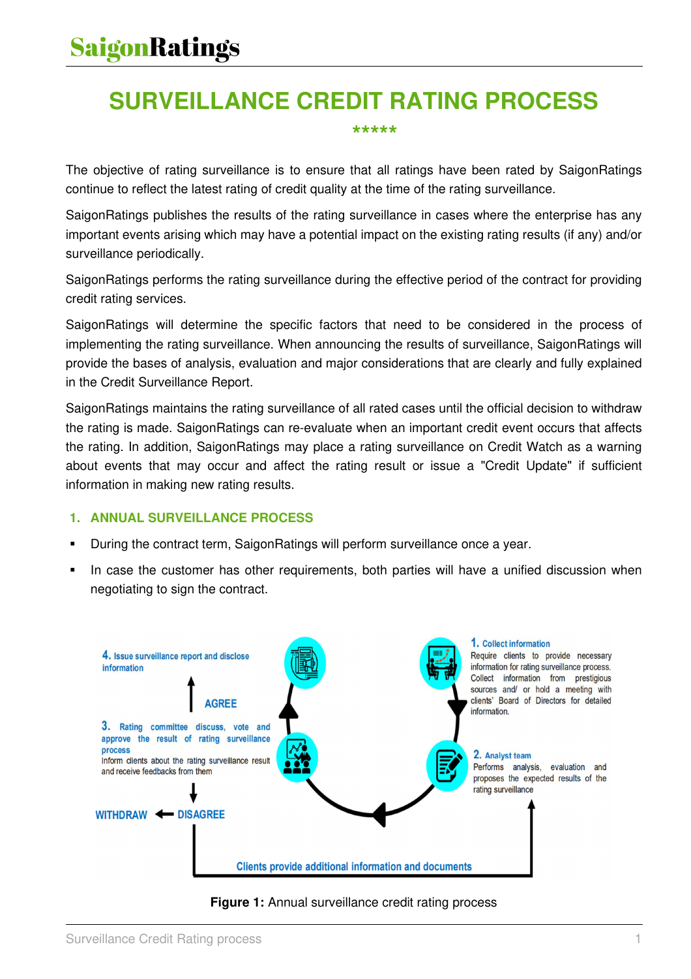## **SURVEILLANCE CREDIT RATING PROCESS**

#### **\*\*\*\*\***

The objective of rating surveillance is to ensure that all ratings have been rated by SaigonRatings continue to reflect the latest rating of credit quality at the time of the rating surveillance.

SaigonRatings publishes the results of the rating surveillance in cases where the enterprise has any important events arising which may have a potential impact on the existing rating results (if any) and/or surveillance periodically.

SaigonRatings performs the rating surveillance during the effective period of the contract for providing credit rating services.

SaigonRatings will determine the specific factors that need to be considered in the process of implementing the rating surveillance. When announcing the results of surveillance, SaigonRatings will provide the bases of analysis, evaluation and major considerations that are clearly and fully explained in the Credit Surveillance Report.

SaigonRatings maintains the rating surveillance of all rated cases until the official decision to withdraw the rating is made. SaigonRatings can re-evaluate when an important credit event occurs that affects the rating. In addition, SaigonRatings may place a rating surveillance on Credit Watch as a warning about events that may occur and affect the rating result or issue a "Credit Update" if sufficient information in making new rating results.

#### **1. ANNUAL SURVEILLANCE PROCESS**

- During the contract term, SaigonRatings will perform surveillance once a year.
- In case the customer has other requirements, both parties will have a unified discussion when negotiating to sign the contract.